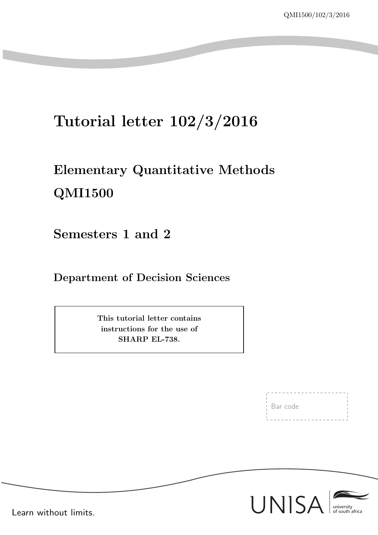# Tutorial letter 102/3/2016

# Elementary Quantitative Methods QMI1500

Semesters 1 and 2

Department of Decision Sciences

This tutorial letter contains instructions for the use of SHARP EL-738.

Bar code



Learn without limits.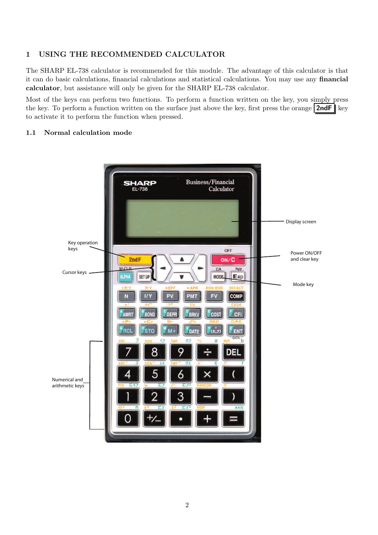#### 1 USING THE RECOMMENDED CALCULATOR

The SHARP EL-738 calculator is recommended for this module. The advantage of this calculator is that it can do basic calculations, financial calculations and statistical calculations. You may use any financial calculator, but assistance will only be given for the SHARP EL-738 calculator.

Most of the keys can perform two functions. To perform a function written on the key, you simply press the key. To perform a function written on the surface just above the key, first press the orange  $2ndF$  key to activate it to perform the function when pressed.

#### 1.1 Normal calculation mode

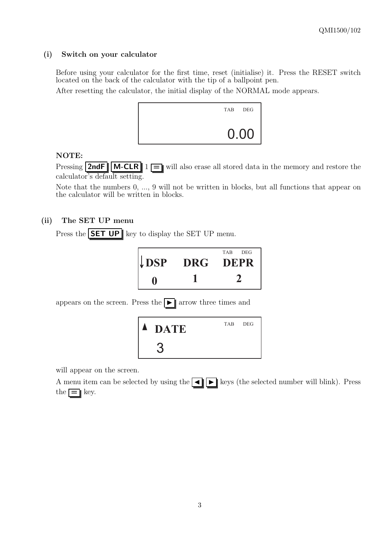#### (i) Switch on your calculator

Before using your calculator for the first time, reset (initialise) it. Press the RESET switch located on the back of the calculator with the tip of a ballpoint pen.

After resetting the calculator, the initial display of the NORMAL mode appears.



#### NOTE:

Pressing **2ndF**  $\|\mathbf{M}-\mathbf{CLR}\|$  1  $\|\mathbf{m}\|$  also erase all stored data in the memory and restore the calculator's default setting.

Note that the numbers 0, ..., 9 will not be written in blocks, but all functions that appear on the calculator will be written in blocks.

#### (ii) The SET UP menu

Press the  $\|\text{SET UP}\|$  key to display the SET UP menu.

| $\downarrow$ DSP | TAB DEG<br>DRG DEPR |
|------------------|---------------------|
|                  |                     |

appears on the screen. Press the  $\blacksquare$  arrow three times and



will appear on the screen.

A menu item can be selected by using the  $\blacksquare$  keys (the selected number will blink). Press the  $\equiv$  key.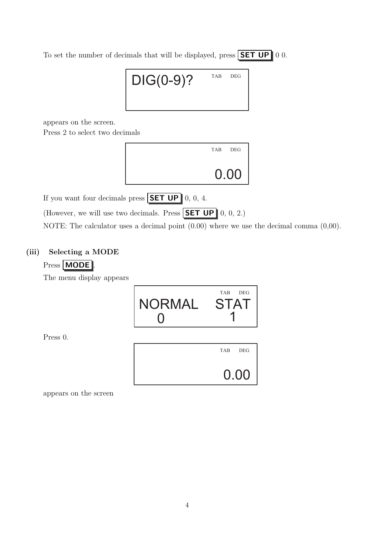To set the number of decimals that will be displayed, press **SET UP** 0 0.

# $\mathsf{DIG}(0\text{-}9)?$  TAB DEG

appears on the screen.

Press 2 to select two decimals



If you want four decimals press  $\boxed{\mathsf{SET UP}}$  0, 0, 4.

(However, we will use two decimals. Press SET UP  $\parallel$  0, 0, 2.)

NOTE: The calculator uses a decimal point  $(0.00)$  where we use the decimal comma  $(0,00)$ .

# (iii) Selecting a MODE

# Press **MODE** .

The menu display appears



Press 0.



appears on the screen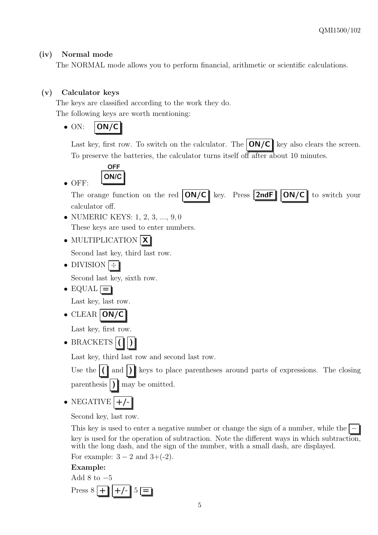## (iv) Normal mode

The NORMAL mode allows you to perform financial, arithmetic or scientific calculations.

## (v) Calculator keys

• OFF:

The keys are classified according to the work they do. The following keys are worth mentioning:

 $\bullet$  ON:  $|ON/C|$ 

Last key, first row. To switch on the calculator. The  $\text{ON}/\text{C}$  key also clears the screen. To preserve the batteries, the calculator turns itself off after about 10 minutes.

$$
\overline{ORF}
$$

The orange function on the red  $\text{ON}/\text{C}$  key. Press  $\text{2ndF}$   $\text{ON}/\text{C}$  to switch your calculator off.

- NUMERIC KEYS: 1, 2, 3, ..., 9, 0 These keys are used to enter numbers.
- MULTIPLICATION  $|{\bf X}|$

Second last key, third last row.

• DIVISION  $\div$ 

Second last key, sixth row.

• EQUAL  $\equiv$ 

Last key, last row.

 $\bullet$  CLEAR  $|ON/C$ 

Last key, first row.

• BRACKETS  $|$  (

Last key, third last row and second last row.

Use the  $(\dagger)$  and  $(\dagger)$  keys to place parentheses around parts of expressions. The closing parenthesis  $\int \ln(y) \, dy$  be omitted.

 $\bullet$  NEGATIVE

Second key, last row.

This key is used to enter a negative number or change the sign of a number, while the key is used for the operation of subtraction. Note the different ways in which subtraction, with the long dash, and the sign of the number, with a small dash, are displayed. For example:  $3 - 2$  and  $3 + (-2)$ .

#### Example:

Add  $8$  to  $-5$ Press  $8$  +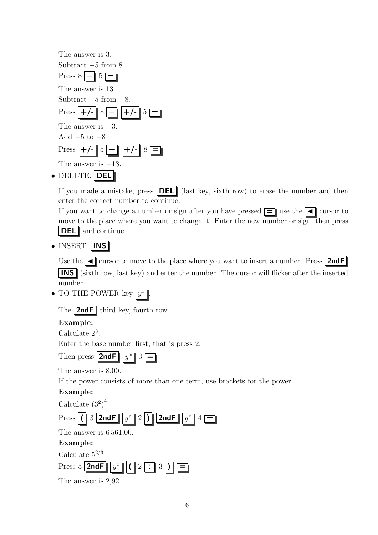| The answer is 3.                                   |
|----------------------------------------------------|
| Subtract $-5$ from 8.                              |
| Press $8 - 5 =$                                    |
| The answer is 13.                                  |
| Subtract $-5$ from $-8$ .                          |
| $\text{Press}$ +/- $\mid 8 \mid$ +/- $\mid 5 \mid$ |
| The answer is $-3$ .                               |
| Add $-5$ to $-8$                                   |
| Press $+/-$ 5 + $+/-$ 8 =                          |
| The answer is $-13$ .                              |
| not populacul                                      |

• DELETE: | DEL |

If you made a mistake, press  $|\text{DEL}|$  (last key, sixth row) to erase the number and then enter the correct number to continue.

If you want to change a number or sign after you have pressed  $\equiv$  use the  $\blacktriangleleft$  cursor to move to the place where you want to change it. Enter the new number or sign, then press **DEL** and continue.

• INSERT: INS

Use the  $\Box$  cursor to move to the place where you want to insert a number. Press  $2ndF$ INS (sixth row, last key) and enter the number. The cursor will flicker after the inserted number.

• TO THE POWER key  $y^x$ 

The  $2ndF$  third key, fourth row

# Example:

Calculate 2<sup>3</sup> .

Enter the base number first, that is press 2.

.

Then press  $|2ndF|$  $u^x \parallel 3 \mid \equiv \mid$ 

The answer is 8,00.

If the power consists of more than one term, use brackets for the power.

# Example:

Calculate  $(3^2)^4$ 

| $\text{Press} \left  \left( \begin{array}{c c} 3 & 2 \text{ndF} & \boxed{y^x} & 2 \end{array} \right  \right) \left\  \overline{2 \text{ndF}} \right\  \overline{y^x} \right\ _4$ |
|-----------------------------------------------------------------------------------------------------------------------------------------------------------------------------------|
|-----------------------------------------------------------------------------------------------------------------------------------------------------------------------------------|

The answer is 6 561,00.

# Example:

Calculate  $5^{2/3}$ 



| The answer is $2,92$ . |  |  |  |
|------------------------|--|--|--|
|------------------------|--|--|--|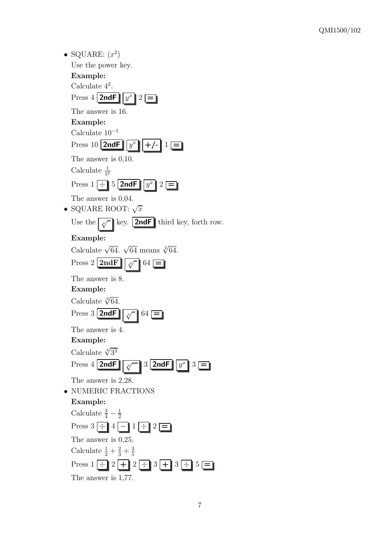| • SQUARE: $(x^2)$                                                   |
|---------------------------------------------------------------------|
| Use the power key.                                                  |
| Example:                                                            |
| Calculate $4^2$ .                                                   |
| Press $4$ <b>2ndF</b> $y^x$ $2 \equiv$                              |
| The answer is 16.                                                   |
| Example:                                                            |
| Calculate $10^{-1}$                                                 |
| Press 10 $2ndF$ $y^x$ +/- 1 $=$                                     |
| The answer is $0,10$ .                                              |
| Calculate $\frac{1}{5^2}$                                           |
| Press $1 - 5$ 2ndF $y^x$ $2 =$                                      |
| The answer is $0,04$ .                                              |
| SQUARE ROOT: $\sqrt{x}$                                             |
| Use the $\boxed{\sqrt[x]{}}$ key. <b>2ndF</b> third key, forth row. |
| Example:                                                            |
| Calculate $\sqrt{64}$ . $\sqrt{64}$ means $\sqrt[2]{64}$ .          |
| Press 2 $2ndF$ $\sqrt{x}$ 64 $=$                                    |
| The answer is 8.                                                    |
| Example:                                                            |
| Calculate $\sqrt[3]{64}$ .                                          |
| Press $3$ 2ndF $\frac{2}{\sqrt{1}}$ $64 \equiv$                     |
| The answer is 4.                                                    |
| Example:                                                            |
| Calculate $\sqrt[4]{3^3}$                                           |
| Press 4 2ndF $\sqrt{v}$ 3 2ndF $y^x$ 3 =                            |
| The answer is $2,28$ .                                              |
| • NUMERIC FRACTIONS                                                 |
| Example:                                                            |
| Calculate $\frac{3}{4}-\frac{1}{2}$                                 |
| Press $3 \div 4 \boxed{-} 1 \div 2 \boxed{-}$                       |
| The answer is $0,25$ .                                              |
| Calculate $\frac{1}{2} + \frac{2}{3} + \frac{3}{5}$                 |
| Press $1 - 2 + 2 - 3 + 3 - 5 =$                                     |
| The answer is $1,77$ .                                              |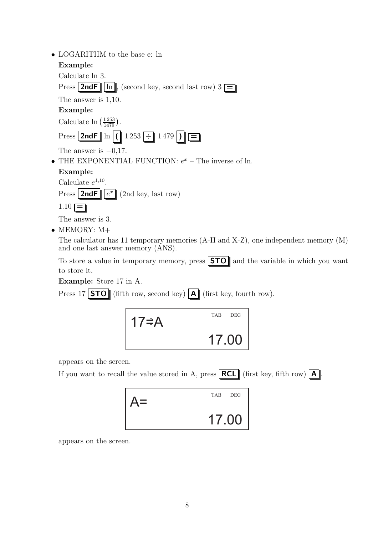| LOGARITHM to the base e: ln                                        |
|--------------------------------------------------------------------|
| Example:                                                           |
| Calculate ln 3.                                                    |
| Press <b>2ndF</b> $\ln$ , (second key, second last row) $3 \equiv$ |
| The answer is $1,10$ .                                             |
| Example:                                                           |
| Calculate $\ln\left(\frac{1253}{1479}\right)$ .                    |
| Press 2ndF $\ln  ( 1253 \div 1479 ) $                              |
| The answer is $-0.17$ .                                            |
| • THE EXPONENTIAL FUNCTION: $e^x$ – The inverse of ln.             |
| Example:                                                           |
| Calculate $e^{1,10}$ .                                             |
| Press   2ndF   $ e^x $ (2nd key, last row)                         |
| $1.10 =$                                                           |

The answer is 3.

• MEMORY: M+

The calculator has 11 temporary memories (A-H and X-Z), one independent memory (M) and one last answer memory (ANS).

To store a value in temporary memory, press **STO** and the variable in which you want to store it.

Example: Store 17 in A.

Press 17 **STO** (fifth row, second key)  $\overline{A}$  (first key, fourth row).



appears on the screen.

If you want to recall the value stored in A, press  $\overline{\text{RCL}}$  (first key, fifth row)  $\overline{\text{A}}$ .



appears on the screen.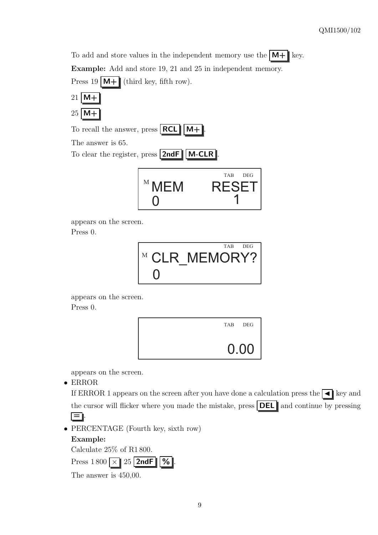To add and store values in the independent memory use the  $\mathbf{M} + \mathbf{R}$  key. Example: Add and store 19, 21 and 25 in independent memory.

Press 19  $\mathbf{M} + \mathbf{I}$  (third key, fifth row).







The answer is 65.

To clear the register, press  $|2ndF||M-CLR|$ 



appears on the screen. Press 0.



appears on the screen.

Press 0.



appears on the screen.

• ERROR

If ERROR 1 appears on the screen after you have done a calculation press the  $\blacksquare$  key and the cursor will flicker where you made the mistake, press  $|\text{DEL}|$  and continue by pressing  $\equiv$  .

• PERCENTAGE (Fourth key, sixth row)

# Example:

Calculate 25% of R1 800.

Press  $1800 \times 25$  2ndF | %

The answer is 450,00.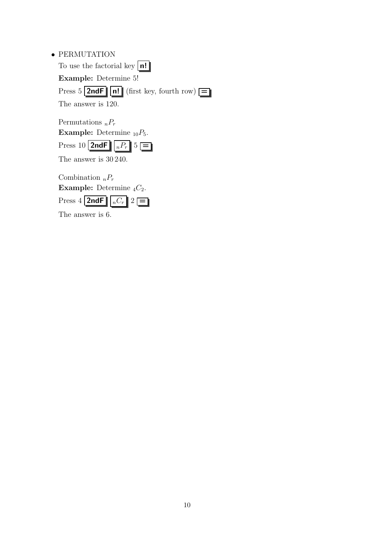| $\bullet$ PERMUTATION                                         |
|---------------------------------------------------------------|
| To use the factorial key $\vert n! \vert$                     |
| <b>Example:</b> Determine 5!                                  |
| Press $5$ 2ndF     n!   (first key, fourth row) $\boxed{=}$   |
| The answer is 120.                                            |
|                                                               |
| Permutations ${}_{n}P_{r}$                                    |
| <b>Example:</b> Determine $_{10}P_5$ .                        |
| Press 10 <b>2ndF</b> $\left  \int_{R} P_r \right $ 5 $\equiv$ |
| The answer is $30\,240$ .                                     |
| Combination ${}_{n}P_{r}$                                     |
|                                                               |

Example: Determine  ${}_{4}C_{2}$ . Press 4 2ndF  $\boxed{nC_r}$  2  $\boxed{=}$ 

The answer is 6.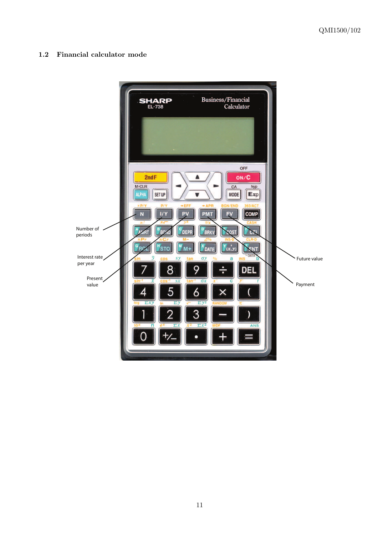1.2 Financial calculator mode

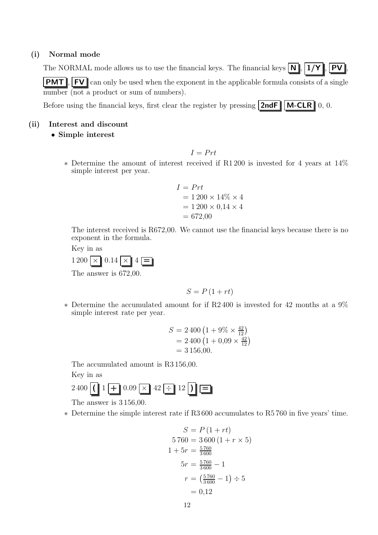#### (i) Normal mode

The NORMAL mode allows us to use the financial keys. The financial keys  $\mathbf{N}$ ,  $\mathbf{N}$ ,  $\mathbf{1}/\mathbf{Y}$ ,  $\mathbf{PV}$ 

**PMT**, FV can only be used when the exponent in the applicable formula consists of a single number (not a product or sum of numbers).

Before using the financial keys, first clear the register by pressing  $2ndF \parallel M-CLR \parallel 0, 0$ .

#### (ii) Interest and discount

• Simple interest

 $I = Prt$ 

∗ Determine the amount of interest received if R1 200 is invested for 4 years at 14% simple interest per year.

$$
I = Prt
$$
  
= 1200 × 14% × 4  
= 1200 × 0,14 × 4  
= 672,00

The interest received is R672,00. We cannot use the financial keys because there is no exponent in the formula.

Key in as



The answer is 672,00.

$$
S = P\left(1 + rt\right)
$$

∗ Determine the accumulated amount for if R2 400 is invested for 42 months at a 9% simple interest rate per year.

$$
S = 2\,400 \left(1 + 9\% \times \frac{42}{12}\right) \n= 2\,400 \left(1 + 0.09 \times \frac{42}{12}\right) \n= 3\,156.00.
$$

The accumulated amount is R3 156,00.

Key in as

$$
2\,400\left[\left(\begin{array}{c|c}1 & -1 \\ \hline & 0.09 & \times \end{array}\right]42\left[\begin{array}{c|c}1 & 12 \\ \hline & 12\end{array}\right]\right]\left[\begin{array}{c|c}1 & -12 & -12 \\ \hline & 0 & 0 & 0 \end{array}\right]
$$

The answer is 3 156,00.

∗ Determine the simple interest rate if R3 600 accumulates to R5 760 in five years' time.

$$
S = P (1 + rt)
$$
  
\n
$$
5760 = 3600 (1 + r \times 5)
$$
  
\n
$$
1 + 5r = \frac{5760}{3600}
$$
  
\n
$$
5r = \frac{5760}{3600} - 1
$$
  
\n
$$
r = (\frac{5760}{3600} - 1) \div 5
$$
  
\n
$$
= 0,12
$$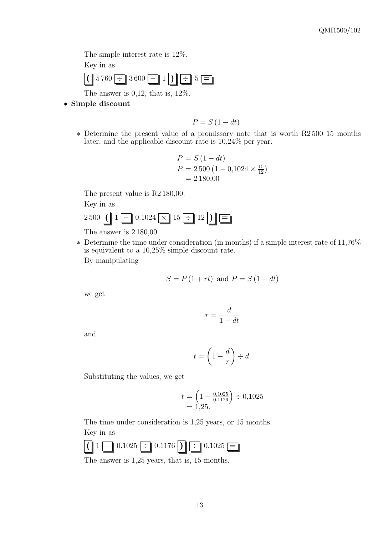The simple interest rate is 12%.

Key in as



The answer is 0,12, that is, 12%.

• Simple discount

- $P = S(1 dt)$
- ∗ Determine the present value of a promissory note that is worth R2 500 15 months later, and the applicable discount rate is 10,24% per year.

$$
P = S (1 - dt)
$$
  
\n
$$
P = 2\,500 (1 - 0.1024 \times \frac{15}{12})
$$
  
\n
$$
= 2\,180.00
$$

The present value is R2 180,00.

Key in as

 $2\,500$  ( | 1 - 0.1024  $\times$  15  $\div$  12 )  $\equiv$ 

The answer is 2 180,00.

∗ Determine the time under consideration (in months) if a simple interest rate of 11,76% is equivalent to a 10,25% simple discount rate.

By manipulating

$$
S = P(1 + rt) \text{ and } P = S(1 - dt)
$$

we get

$$
r = \frac{d}{1 - dt}
$$

and

$$
t = \left(1 - \frac{d}{r}\right) \div d.
$$

Substituting the values, we get

$$
t = \left(1 - \frac{0.1025}{0.1176}\right) \div 0.1025
$$
  
= 1.25.

The time under consideration is 1,25 years, or 15 months. Key in as



The answer is 1,25 years, that is, 15 months.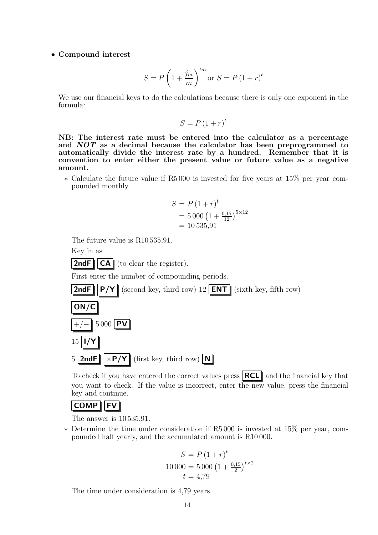#### • Compound interest

$$
S = P\left(1 + \frac{j_m}{m}\right)^{tm} \text{or } S = P\left(1 + r\right)^t
$$

We use our financial keys to do the calculations because there is only one exponent in the formula:

$$
S = P(1+r)^t
$$

NB: The interest rate must be entered into the calculator as a percentage and NOT as a decimal because the calculator has been preprogrammed to automatically divide the interest rate by a hundred. Remember that it is convention to enter either the present value or future value as a negative amount.

∗ Calculate the future value if R5 000 is invested for five years at 15% per year compounded monthly.

$$
S = P (1+r)t
$$
  
= 5 000 (1 + <sup>0,15</sup>/<sub>12</sub>)<sup>5×12</sup>  
= 10 535,91

The future value is R10 535,91.

Key in as

**2ndF**  $||CA||$  (to clear the register).

First enter the number of compounding periods.

**2ndF**  $\|$  **P/Y** (second key, third row) 12 **ENT** (sixth key, fifth row)





To check if you have entered the correct values press  $\|\text{RCL}\|$  and the financial key that you want to check. If the value is incorrect, enter the new value, press the financial key and continue.

# $COMP$  FV

The answer is 10 535,91.

∗ Determine the time under consideration if R5 000 is invested at 15% per year, compounded half yearly, and the accumulated amount is R10 000.

$$
S = P (1+r)t
$$
  
10 000 = 5 000  $(1 + \frac{0.15}{2})^{t \times 2}$   
 $t = 4.79$ 

The time under consideration is 4,79 years.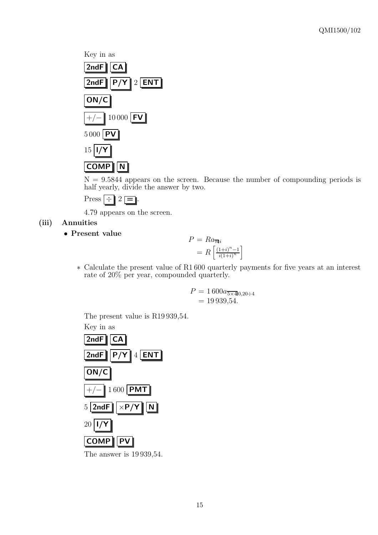

 $N = 9.5844$  appears on the screen. Because the number of compounding periods is half yearly, divide the answer by two.



4.79 appears on the screen.

### (iii) Annuities

• Present value

$$
P = Ra_{\overline{m}i}
$$

$$
= R\left[\frac{(1+i)^n - 1}{i(1+i)^n}\right]
$$

∗ Calculate the present value of R1 600 quarterly payments for five years at an interest rate of 20% per year, compounded quarterly.

$$
P = 1\,600a_{\overline{5\times 4}\,0,20 \div 4}
$$
  
= 19\,939,54.

The present value is R19 939,54.

Key in as



The answer is 19 939,54.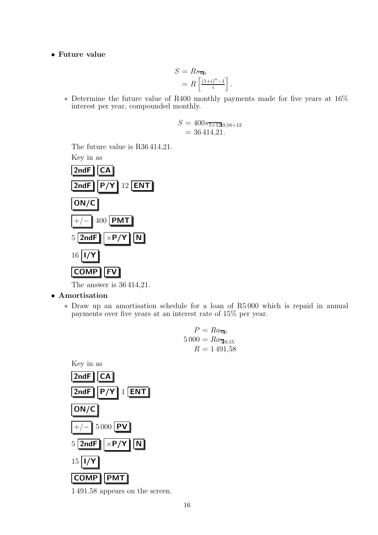• Future value

$$
S = Rs_{\overline{n}|i}
$$

$$
= R\left[\frac{(1+i)^n - 1}{i}\right]
$$

∗ Determine the future value of R400 monthly payments made for five years at 16% interest per year, compounded monthly.

.

$$
S = 400s_{\overline{5\times12}}0,16 \div 12
$$
  
= 36 414,21.

The future value is R36 414,21.

Key in as



The answer is 36 414,21.

- Amortisation
	- ∗ Draw up an amortisation schedule for a loan of R5 000 which is repaid in annual payments over five years at an interest rate of 15% per year.

$$
P = Ra_{\overline{n}i}
$$
  
5 000 = Ra<sub>50,15</sub>  

$$
R = 1 491{,}58
$$



1 491.58 appears on the screen.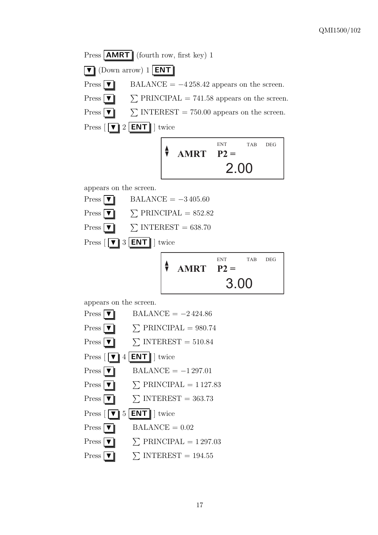Press  $\boxed{\text{AMRT}}$  (fourth row, first key) 1  $\boxed{\blacktriangledown}$  (Down arrow) 1 **ENT** Press  $\nabla$  BALANCE = -4 258.42 appears on the screen.  $Press \nightharpoondown$  $\Sigma$  PRINCIPAL = 741.58 appears on the screen.  $Press \nightharpoondown$  $\Sigma$  INTEREST = 750.00 appears on the screen. Press  $\sqrt{|\mathbf{v}|^2}$  ENT  $\|$  twice 2.00 TAB DEG **AMRT P2** = ENT. appears on the screen.  $Press \mid \blacktriangledown \parallel$  BALANCE = -3405.60  $Press \nightharpoondown$  $\Sigma$  PRINCIPAL = 852.82  $Press \boxed{\blacktriangledown}$  $\Sigma$  INTEREST = 638.70 Press  $\begin{bmatrix} \boxed{\blacktriangledown} \end{bmatrix}$  3  $\begin{bmatrix} \text{ENT} \end{bmatrix}$  twice 3.00 TAB DEG **AMRT P2 =** ENT. appears on the screen. Press  $\triangledown$  BALANCE = -2424.86  $Press \boxed{\blacktriangledown}$  $\Sigma$  PRINCIPAL = 980.74  $Press \boxed{\blacktriangledown}$  $\Sigma$  INTEREST = 510.84 Press  $\lceil \blacktriangledown \rceil$  4 | **ENT** | | twice  $Press \nightharpoonup \nightharpoonup$  BALANCE = -1 297.01  $Press \mid \blacktriangledown \mid$  $\Sigma$  PRINCIPAL = 1127.83  $Press \mid \blacktriangledown \mid$  $\Sigma$  INTEREST = 363.73 Press  $\lceil \blacktriangledown \rceil$  5 | **ENT** | twice  $Press \triangledown \square$  BALANCE = 0.02  $Press \boxed{\blacktriangledown}$  $\Sigma$  PRINCIPAL = 1297.03  $Press \boxed{\blacktriangledown}$  $\Sigma$  INTEREST = 194.55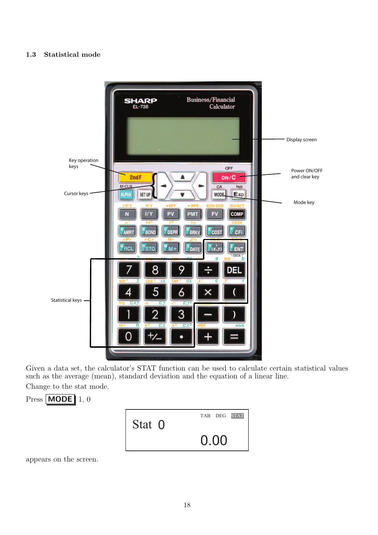#### 1.3 Statistical mode



Given a data set, the calculator's STAT function can be used to calculate certain statistical values such as the average (mean), standard deviation and the equation of a linear line.

Change to the stat mode.



appears on the screen.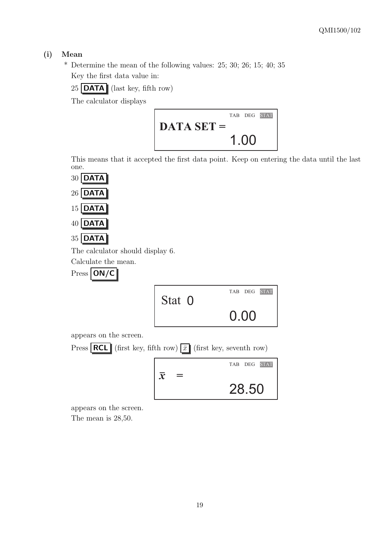# (i) Mean

\* Determine the mean of the following values: 25; 30; 26; 15; 40; 35 Key the first data value in:

 $25$  DATA (last key, fifth row)

The calculator displays



This means that it accepted the first data point. Keep on entering the data until the last one.







The calculator should display 6.

Calculate the mean.



| Stat 0 | TAB DEG STAT |
|--------|--------------|
|        | 0.00         |

28.50

appears on the screen.



appears on the screen.

The mean is 28,50.